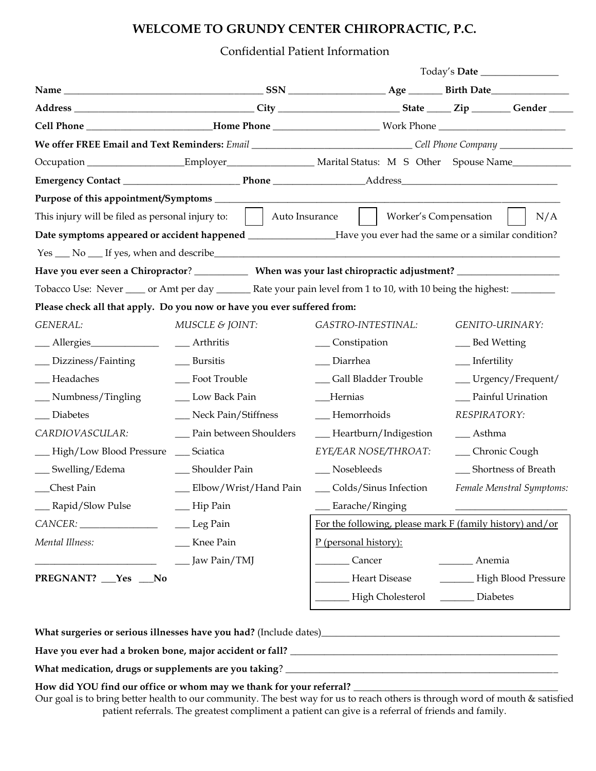# **WELCOME TO GRUNDY CENTER CHIROPRACTIC, P.C.**

## Confidential Patient Information

| Cell Phone ____________________________Home Phone __________________________Work Phone _______________________            |                           |                                                          |                           |
|---------------------------------------------------------------------------------------------------------------------------|---------------------------|----------------------------------------------------------|---------------------------|
| We offer FREE Email and Text Reminders: Email ________________________________Cell Phone Company _____________            |                           |                                                          |                           |
| Occupation ____________________Employer______________________Marital Status: M S Other Spouse Name____________            |                           |                                                          |                           |
|                                                                                                                           |                           |                                                          |                           |
|                                                                                                                           |                           |                                                          |                           |
| This injury will be filed as personal injury to:     Auto Insurance                                                       |                           | Worker's Compensation                                    | N/A                       |
| Date symptoms appeared or accident happened ______________Have you ever had the same or a similar condition?              |                           |                                                          |                           |
|                                                                                                                           |                           |                                                          |                           |
|                                                                                                                           |                           |                                                          |                           |
| Tobacco Use: Never _____ or Amt per day _________ Rate your pain level from 1 to 10, with 10 being the highest: _________ |                           |                                                          |                           |
| Please check all that apply. Do you now or have you ever suffered from:                                                   |                           |                                                          |                           |
| GENERAL:                                                                                                                  | MUSCLE & JOINT:           | GASTRO-INTESTINAL:                                       | GENITO-URINARY:           |
| ___ Allergies_______________                                                                                              | __ Arthritis              | __ Constipation                                          | __ Bed Wetting            |
| _Dizziness/Fainting                                                                                                       | __ Bursitis               | __ Diarrhea                                              | __ Infertility            |
| _Headaches                                                                                                                | __ Foot Trouble           | __ Gall Bladder Trouble                                  | __ Urgency/Frequent/      |
| _Numbness/Tingling                                                                                                        | _ Low Back Pain           | Hernias                                                  | __ Painful Urination      |
| _ Diabetes                                                                                                                | __ Neck Pain/Stiffness    | -Hemorrhoids                                             | RESPIRATORY:              |
| CARDIOVASCULAR:                                                                                                           | __ Pain between Shoulders | -Heartburn/Indigestion                                   | __ Asthma                 |
| High/Low Blood Pressure                                                                                                   | Sciatica                  | EYE/EAR NOSE/THROAT:                                     | __ Chronic Cough          |
| __ Swelling/Edema                                                                                                         | __ Shoulder Pain          | __ Nosebleeds                                            | __ Shortness of Breath    |
| Chest Pain                                                                                                                | __ Elbow/Wrist/Hand Pain  | __ Colds/Sinus Infection                                 | Female Menstral Symptoms: |
| __ Rapid/Slow Pulse                                                                                                       | -Hip Pain                 | _Earache/Ringing                                         |                           |
| CANCER:                                                                                                                   | Leg Pain                  | For the following, please mark F (family history) and/or |                           |
| Mental Illness:                                                                                                           | Knee Pain                 | P (personal history):                                    |                           |
|                                                                                                                           | Jaw Pain/TMJ              | Cancer                                                   | Anemia                    |
| PREGNANT? Yes _No                                                                                                         |                           | Heart Disease                                            | High Blood Pressure       |
|                                                                                                                           |                           | High Cholesterol                                         | Diabetes                  |
|                                                                                                                           |                           |                                                          |                           |

**What surgeries or serious illnesses have you had?** (Include dates)\_\_\_\_\_\_\_\_\_\_\_\_\_\_\_\_\_\_\_\_\_\_\_\_\_\_\_\_\_\_\_\_\_\_\_\_\_\_\_\_\_\_\_\_\_\_\_\_\_

**Have you ever had a broken bone, major accident or fall?** \_\_\_\_\_\_\_\_\_\_\_\_\_\_\_\_\_\_\_\_\_\_\_\_\_\_\_\_\_\_\_\_\_\_\_\_\_\_\_\_\_\_\_\_\_\_\_\_\_\_\_\_\_\_\_

**What medication, drugs or supplements are you taking**? \_\_\_\_\_\_\_\_\_\_\_\_\_\_\_\_\_\_\_\_\_\_\_\_\_\_\_\_\_\_\_\_\_\_\_\_\_\_\_\_\_\_\_\_\_\_\_\_\_\_\_\_\_\_\_\_

## **How did YOU find our office or whom may we thank for your referral?** \_\_\_\_\_\_\_\_\_\_\_\_\_\_\_\_\_\_\_\_\_\_\_\_\_\_\_\_\_\_\_\_\_\_\_\_\_\_\_\_\_\_

Our goal is to bring better health to our community. The best way for us to reach others is through word of mouth & satisfied patient referrals. The greatest compliment a patient can give is a referral of friends and family.